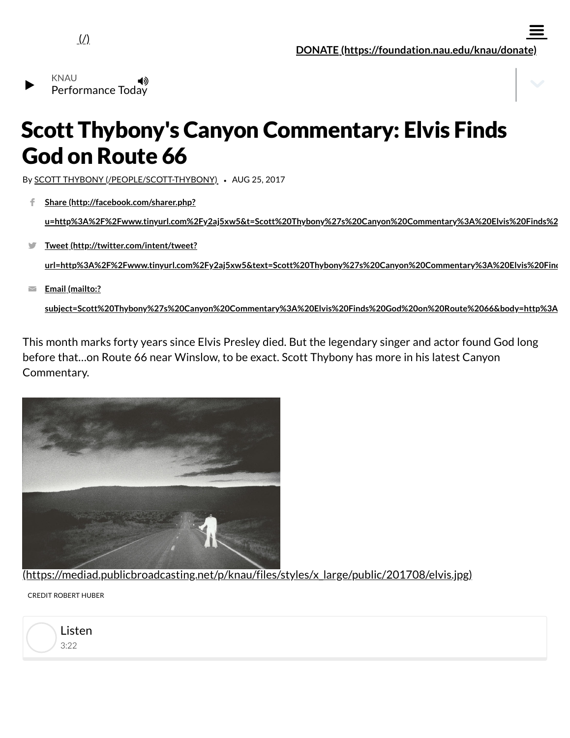

 $\equiv$ 



## Scott Thybony's Canyon Commentary: Elvis Finds God on Route 66

By SCOTT THYBONY [\(/PEOPLE/SCOTT-THYBONY\)](https://www.knau.org/people/scott-thybony) *•* AUG 25, 2017

**Share (http://facebook.com/sharer.php?** ÷.

**[u=http%3A%2F%2Fwww.tinyurl.com%2Fy2aj5xw5&t=Scott%20Thybony%27s%20Canyon%20Commentary%3A%20Elvis%20Finds%2](http://facebook.com/sharer.php?u=http%3A%2F%2Fwww.tinyurl.com%2Fy2aj5xw5&t=Scott%20Thybony%27s%20Canyon%20Commentary%3A%20Elvis%20Finds%20God%20on%20Route%2066)**

**Tweet (http://twitter.com/intent/tweet?**  $\blacksquare$ 

**[url=http%3A%2F%2Fwww.tinyurl.com%2Fy2aj5xw5&text=Scott%20Thybony%27s%20Canyon%20Commentary%3A%20Elvis%20Find](http://twitter.com/intent/tweet?url=http%3A%2F%2Fwww.tinyurl.com%2Fy2aj5xw5&text=Scott%20Thybony%27s%20Canyon%20Commentary%3A%20Elvis%20Finds%20God%20on%20Route%2066)**

**Email (mailto:?**  $\overline{\phantom{0}}$ 

**[subject=Scott%20Thybony%27s%20Canyon%20Commentary%3A%20Elvis%20Finds%20God%20on%20Route%2066&body=http%3A](mailto:?subject=Scott%20Thybony%27s%20Canyon%20Commentary%3A%20Elvis%20Finds%20God%20on%20Route%2066&body=http%3A%2F%2Fwww.tinyurl.com%2Fy2aj5xw5)**

This month marks forty years since Elvis Presley died. But the legendary singer and actor found God long before that…on Route 66 near Winslow, to be exact. Scott Thybony has more in his latest Canyon Commentary.



[\(https://mediad.publicbroadcasting.net/p/knau/files/styles/x\\_large/public/201708/elvis.jpg\)](https://mediad.publicbroadcasting.net/p/knau/files/styles/x_large/public/201708/elvis.jpg)

CREDIT ROBERT HUBER

3:22 Listen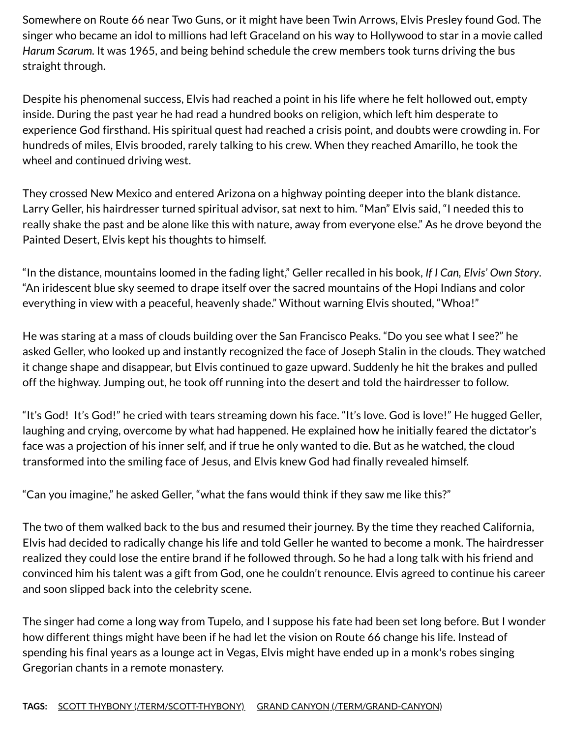Somewhere on Route 66 near Two Guns, or it might have been Twin Arrows, Elvis Presley found God. The singer who became an idol to millions had left Graceland on his way to Hollywood to star in a movie called *Harum Scarum*. It was 1965, and being behind schedule the crew members took turns driving the bus straight through.

Despite his phenomenal success, Elvis had reached a point in his life where he felt hollowed out, empty inside. During the past year he had read a hundred books on religion, which left him desperate to experience God firsthand. His spiritual quest had reached a crisis point, and doubts were crowding in. For hundreds of miles, Elvis brooded, rarely talking to his crew. When they reached Amarillo, he took the wheel and continued driving west.

They crossed New Mexico and entered Arizona on a highway pointing deeper into the blank distance. Larry Geller, his hairdresser turned spiritual advisor, sat next to him. "Man" Elvis said, "I needed this to really shake the past and be alone like this with nature, away from everyone else." As he drove beyond the Painted Desert, Elvis kept his thoughts to himself.

"In the distance, mountains loomed in the fading light," Geller recalled in his book, *If I Can, Elvis' Own Story*. "An iridescent blue sky seemed to drape itself over the sacred mountains of the Hopi Indians and color everything in view with a peaceful, heavenly shade." Without warning Elvis shouted, "Whoa!"

He was staring at a mass of clouds building over the San Francisco Peaks. "Do you see what I see?" he asked Geller, who looked up and instantly recognized the face of Joseph Stalin in the clouds. They watched it change shape and disappear, but Elvis continued to gaze upward. Suddenly he hit the brakes and pulled off the highway. Jumping out, he took off running into the desert and told the hairdresser to follow.

"It's God! It's God!" he cried with tears streaming down his face. "It's love. God is love!" He hugged Geller, laughing and crying, overcome by what had happened. He explained how he initially feared the dictator's face was a projection of his inner self, and if true he only wanted to die. But as he watched, the cloud transformed into the smiling face of Jesus, and Elvis knew God had finally revealed himself.

"Can you imagine," he asked Geller, "what the fans would think if they saw me like this?"

The two of them walked back to the bus and resumed their journey. By the time they reached California, Elvis had decided to radically change his life and told Geller he wanted to become a monk. The hairdresser realized they could lose the entire brand if he followed through. So he had a long talk with his friend and convinced him his talent was a gift from God, one he couldn't renounce. Elvis agreed to continue his career and soon slipped back into the celebrity scene.

The singer had come a long way from Tupelo, and I suppose his fate had been set long before. But I wonder how different things might have been if he had let the vision on Route 66 change his life. Instead of spending his final years as a lounge act in Vegas, Elvis might have ended up in a monk's robes singing Gregorian chants in a remote monastery.